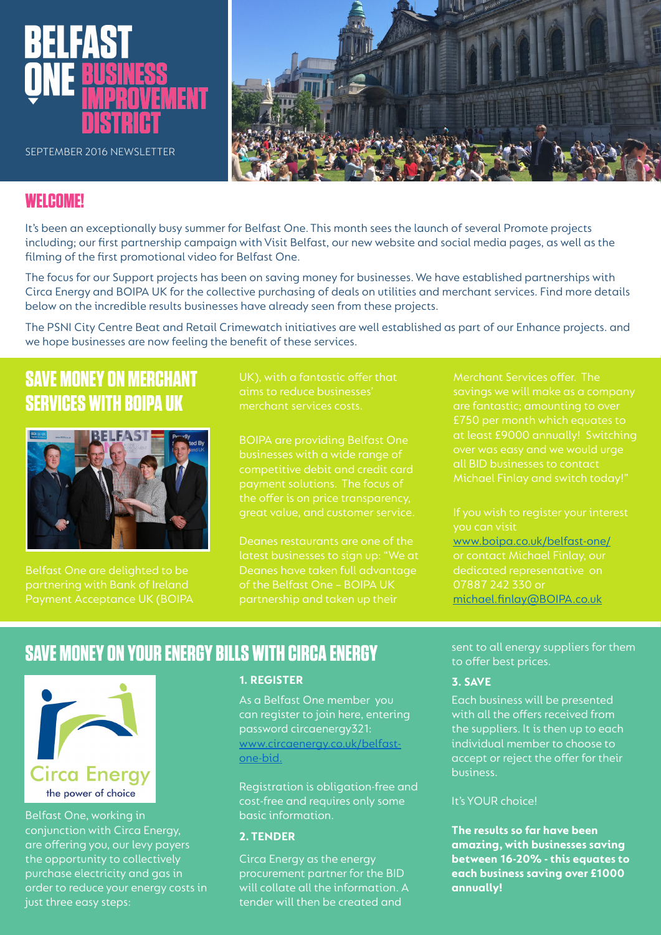

SEPTEMBER 2016 NEWSLETTER



### **WELCOME!**

It's been an exceptionally busy summer for Belfast One. This month sees the launch of several Promote projects including; our first partnership campaign with Visit Belfast, our new website and social media pages, as well as the filming of the first promotional video for Belfast One.

The focus for our Support projects has been on saving money for businesses. We have established partnerships with Circa Energy and BOIPA UK for the collective purchasing of deals on utilities and merchant services. Find more details below on the incredible results businesses have already seen from these projects.

The PSNI City Centre Beat and Retail Crimewatch initiatives are well established as part of our Enhance projects. and we hope businesses are now feeling the benefit of these services.

## **SAVE MONEY ON MERCHANT SERVICES WITH BOIPA UK**



Belfast One are delighted to be Payment Acceptance UK (BOIPA merchant services costs.

businesses with a wide range of competitive debit and credit card payment solutions. The focus of the offer is on price transparency, great value, and customer service.

Deanes restaurants are one of the latest businesses to sign up: "We at Deanes have taken full advantage of the Belfast One – BOIPA UK partnership and taken up their

Merchant Services offer. The savings we will make as a company £750 per month which equates to all BID businesses to contact

you can visit [www.boipa.co.uk/belfast-one/](http://www.boipa.co.uk/belfast-one/) dedicated representative on 07887 242 330 or m[ichael.finlay@BOIPA.co.uk](mailto:Michael.Finlay%40BOIPA.co.uk?subject=)

## **SAVE MONEY ON YOUR ENERGY BILLS WITH CIRCA ENERGY**



Belfast One, working in conjunction with Circa Energy, are offering you, our levy payers the opportunity to collectively purchase electricity and gas in order to reduce your energy costs in just three easy steps:

### **1. REGISTER**

As a Belfast One member you can register to join here, entering password circaenergy321: [www.circaenergy.co.uk/belfast](http://www.circaenergy.co.uk/belfast-one-bid)[one-bid.](http://www.circaenergy.co.uk/belfast-one-bid)

Registration is obligation-free and cost-free and requires only some basic information.

### **2. TENDER**

Circa Energy as the energy procurement partner for the BID will collate all the information. A tender will then be created and

sent to all energy suppliers for them to offer best prices.

### **3. SAVE**

Each business will be presented with all the offers received from the suppliers. It is then up to each individual member to choose to accept or reject the offer for their business.

### It's YOUR choice!

**The results so far have been amazing, with businesses saving between 16-20% - this equates to each business saving over £1000 annually!**